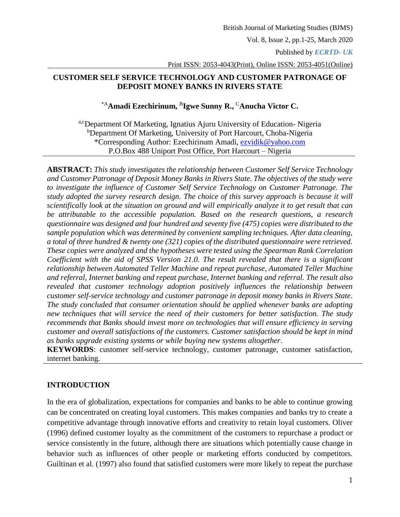Published by *ECRTD- UK* 

Print ISSN: 2053-4043(Print), Online ISSN: 2053-4051(Online)

### **CUSTOMER SELF SERVICE TECHNOLOGY AND CUSTOMER PATRONAGE OF DEPOSIT MONEY BANKS IN RIVERS STATE**

### \*A**Amadi Ezechirinum,**  B **Igwe Sunny R.,**  <sup>C</sup>**Anucha Victor C.**

a,cDepartment Of Marketing, Ignatius Ajuru University of Education-Nigeria <sup>b</sup>Department Of Marketing, University of Port Harcourt, Choba-Nigeria \*Corresponding Author: Ezechirinum Amadi, [ezvidik@yahoo.com](mailto:ezvidik@yahoo.com) P.O.Box 488 Uniport Post Office, Port Harcourt – Nigeria

**ABSTRACT:** *This study investigates the relationship between Customer Self Service Technology and Customer Patronage of Deposit Money Banks in Rivers State. The objectives of the study were to investigate the influence of Customer Self Service Technology on Customer Patronage. The study adopted the survey research design. The choice of this survey approach is because it will scientifically look at the situation on ground and will empirically analyze it to get result that can be attributable to the accessible population. Based on the research questions, a research questionnaire was designed and four hundred and seventy five (475) copies were distributed to the sample population which was determined by convenient sampling techniques. After data cleaning, a total of three hundred & twenty one (321) copies of the distributed questionnaire were retrieved. These copies were analyzed and the hypotheses were tested using the Spearman Rank Correlation Coefficient with the aid of SPSS Version 21.0. The result revealed that there is a significant relationship between Automated Teller Machine and repeat purchase, Automated Teller Machine and referral, Internet banking and repeat purchase, Internet banking and referral. The result also revealed that customer technology adoption positively influences the relationship between customer self-service technology and customer patronage in deposit money banks in Rivers State. The study concluded that consumer orientation should be applied whenever banks are adopting new techniques that will service the need of their customers for better satisfaction. The study recommends that Banks should invest more on technologies that will ensure efficiency in serving customer and overall satisfactions of the customers. Customer satisfaction should be kept in mind as banks upgrade existing systems or while buying new systems altogether*.

**KEYWORDS**: customer self-service technology, customer patronage, customer satisfaction, internet banking.

## **INTRODUCTION**

In the era of globalization, expectations for companies and banks to be able to continue growing can be concentrated on creating loyal customers. This makes companies and banks try to create a competitive advantage through innovative efforts and creativity to retain loyal customers. Oliver (1996) defined customer loyalty as the commitment of the customers to repurchase a product or service consistently in the future, although there are situations which potentially cause change in behavior such as influences of other people or marketing efforts conducted by competitors. Guiltinan et al. (1997) also found that satisfied customers were more likely to repeat the purchase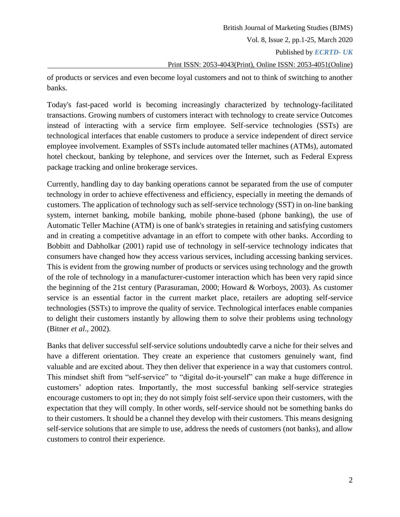of products or services and even become loyal customers and not to think of switching to another banks.

Today's fast-paced world is becoming increasingly characterized by technology-facilitated transactions. Growing numbers of customers interact with technology to create service Outcomes instead of interacting with a service firm employee. Self-service technologies (SSTs) are technological interfaces that enable customers to produce a service independent of direct service employee involvement. Examples of SSTs include automated teller machines (ATMs), automated hotel checkout, banking by telephone, and services over the Internet, such as Federal Express package tracking and online brokerage services.

Currently, handling day to day banking operations cannot be separated from the use of computer technology in order to achieve effectiveness and efficiency, especially in meeting the demands of customers. The application of technology such as self-service technology (SST) in on-line banking system, internet banking, mobile banking, mobile phone-based (phone banking), the use of Automatic Teller Machine (ATM) is one of bank's strategies in retaining and satisfying customers and in creating a competitive advantage in an effort to compete with other banks. According to Bobbitt and Dabholkar (2001) rapid use of technology in self-service technology indicates that consumers have changed how they access various services, including accessing banking services. This is evident from the growing number of products or services using technology and the growth of the role of technology in a manufacturer-customer interaction which has been very rapid since the beginning of the 21st century (Parasuraman, 2000; Howard & Worboys, 2003). As customer service is an essential factor in the current market place, retailers are adopting self-service technologies (SSTs) to improve the quality of service. Technological interfaces enable companies to delight their customers instantly by allowing them to solve their problems using technology (Bitner *et al*., 2002).

Banks that deliver successful self-service solutions undoubtedly carve a niche for their selves and have a different orientation. They create an experience that customers genuinely want, find valuable and are excited about. They then deliver that experience in a way that customers control. This mindset shift from "self-service" to "digital do-it-yourself" can make a huge difference in customers' adoption rates. Importantly, the most successful banking self-service strategies encourage customers to opt in; they do not simply foist self-service upon their customers, with the expectation that they will comply. In other words, self-service should not be something banks do to their customers. It should be a channel they develop with their customers. This means designing self-service solutions that are simple to use, address the needs of customers (not banks), and allow customers to control their experience.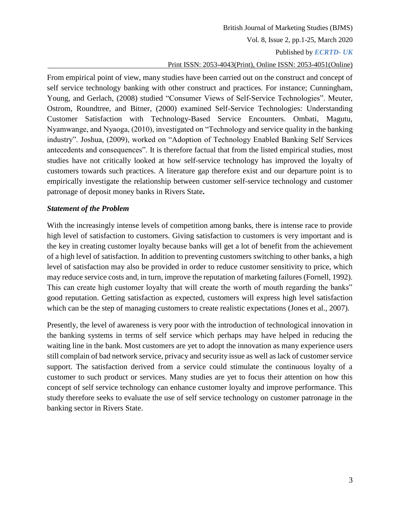Published by *ECRTD- UK* 

### Print ISSN: 2053-4043(Print), Online ISSN: 2053-4051(Online)

From empirical point of view, many studies have been carried out on the construct and concept of self service technology banking with other construct and practices. For instance; Cunningham, Young, and Gerlach, (2008) studied "Consumer Views of Self-Service Technologies". Meuter, Ostrom, Roundtree, and Bitner, (2000) examined Self-Service Technologies: Understanding Customer Satisfaction with Technology-Based Service Encounters. Ombati, Magutu, Nyamwange, and Nyaoga, (2010), investigated on "Technology and service quality in the banking industry". Joshua, (2009), worked on "Adoption of Technology Enabled Banking Self Services antecedents and consequences". It is therefore factual that from the listed empirical studies, most studies have not critically looked at how self-service technology has improved the loyalty of customers towards such practices. A literature gap therefore exist and our departure point is to empirically investigate the relationship between customer self-service technology and customer patronage of deposit money banks in Rivers State**.**

#### *Statement of the Problem*

With the increasingly intense levels of competition among banks, there is intense race to provide high level of satisfaction to customers. Giving satisfaction to customers is very important and is the key in creating customer loyalty because banks will get a lot of benefit from the achievement of a high level of satisfaction. In addition to preventing customers switching to other banks, a high level of satisfaction may also be provided in order to reduce customer sensitivity to price, which may reduce service costs and, in turn, improve the reputation of marketing failures (Fornell, 1992). This can create high customer loyalty that will create the worth of mouth regarding the banks" good reputation. Getting satisfaction as expected, customers will express high level satisfaction which can be the step of managing customers to create realistic expectations (Jones et al., 2007).

Presently, the level of awareness is very poor with the introduction of technological innovation in the banking systems in terms of self service which perhaps may have helped in reducing the waiting line in the bank. Most customers are yet to adopt the innovation as many experience users still complain of bad network service, privacy and security issue as well as lack of customer service support. The satisfaction derived from a service could stimulate the continuous loyalty of a customer to such product or services. Many studies are yet to focus their attention on how this concept of self service technology can enhance customer loyalty and improve performance. This study therefore seeks to evaluate the use of self service technology on customer patronage in the banking sector in Rivers State.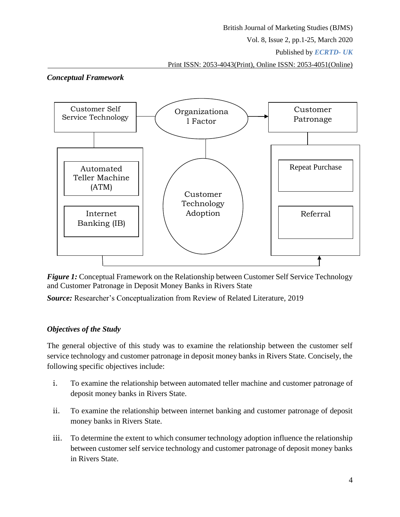#### British Journal of Marketing Studies (BJMS)

Vol. 8, Issue 2, pp.1-25, March 2020

Published by *ECRTD- UK* 

Print ISSN: 2053-4043(Print), Online ISSN: 2053-4051(Online)





*Figure* 1: Conceptual Framework on the Relationship between Customer Self Service Technology and Customer Patronage in Deposit Money Banks in Rivers State

*Source:* Researcher's Conceptualization from Review of Related Literature, 2019

## *Objectives of the Study*

The general objective of this study was to examine the relationship between the customer self service technology and customer patronage in deposit money banks in Rivers State. Concisely, the following specific objectives include:

- i. To examine the relationship between automated teller machine and customer patronage of deposit money banks in Rivers State.
- ii. To examine the relationship between internet banking and customer patronage of deposit money banks in Rivers State.
- iii. To determine the extent to which consumer technology adoption influence the relationship between customer self service technology and customer patronage of deposit money banks in Rivers State.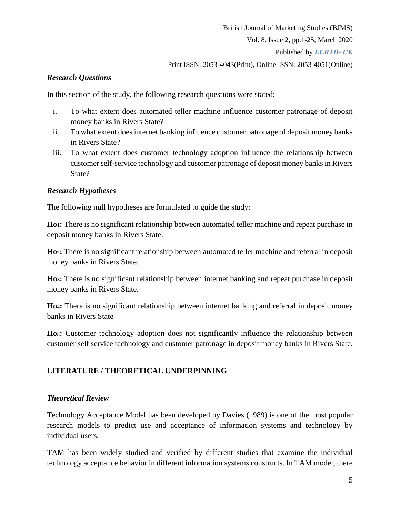# *Research Questions*

In this section of the study, the following research questions were stated;

- i. To what extent does automated teller machine influence customer patronage of deposit money banks in Rivers State?
- ii. To what extent does internet banking influence customer patronage of deposit money banks in Rivers State?
- iii. To what extent does customer technology adoption influence the relationship between customer self-service technology and customer patronage of deposit money banks in Rivers State?

## *Research Hypotheses*

The following null hypotheses are formulated to guide the study:

**Ho1:** There is no significant relationship between automated teller machine and repeat purchase in deposit money banks in Rivers State.

**Ho2:** There is no significant relationship between automated teller machine and referral in deposit money banks in Rivers State.

**Ho3:** There is no significant relationship between internet banking and repeat purchase in deposit money banks in Rivers State.

**Ho4:** There is no significant relationship between internet banking and referral in deposit money banks in Rivers State

**Ho5:** Customer technology adoption does not significantly influence the relationship between customer self service technology and customer patronage in deposit money banks in Rivers State.

## **LITERATURE / THEORETICAL UNDERPINNING**

## *Theoretical Review*

Technology Acceptance Model has been developed by Davies (1989) is one of the most popular research models to predict use and acceptance of information systems and technology by individual users.

TAM has been widely studied and verified by different studies that examine the individual technology acceptance behavior in different information systems constructs. In TAM model, there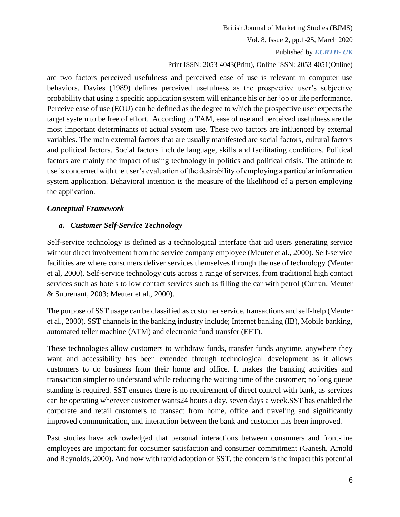#### British Journal of Marketing Studies (BJMS)

Vol. 8, Issue 2, pp.1-25, March 2020

#### Published by *ECRTD- UK*

#### Print ISSN: 2053-4043(Print), Online ISSN: 2053-4051(Online)

are two factors perceived usefulness and perceived ease of use is relevant in computer use behaviors. Davies (1989) defines perceived usefulness as the prospective user's subjective probability that using a specific application system will enhance his or her job or life performance. Perceive ease of use (EOU) can be defined as the degree to which the prospective user expects the target system to be free of effort. According to TAM, ease of use and perceived usefulness are the most important determinants of actual system use. These two factors are influenced by external variables. The main external factors that are usually manifested are social factors, cultural factors and political factors. Social factors include language, skills and facilitating conditions. Political factors are mainly the impact of using technology in politics and political crisis. The attitude to use is concerned with the user's evaluation of the desirability of employing a particular information system application. Behavioral intention is the measure of the likelihood of a person employing the application.

#### *Conceptual Framework*

#### *a. Customer Self-Service Technology*

Self-service technology is defined as a technological interface that aid users generating service without direct involvement from the service company employee (Meuter et al., 2000). Self-service facilities are where consumers deliver services themselves through the use of technology (Meuter et al, 2000). Self-service technology cuts across a range of services, from traditional high contact services such as hotels to low contact services such as filling the car with petrol (Curran, Meuter & Suprenant, 2003; Meuter et al., 2000).

The purpose of SST usage can be classified as customer service, transactions and self-help (Meuter et al., 2000). SST channels in the banking industry include; Internet banking (IB), Mobile banking, automated teller machine (ATM) and electronic fund transfer (EFT).

These technologies allow customers to withdraw funds, transfer funds anytime, anywhere they want and accessibility has been extended through technological development as it allows customers to do business from their home and office. It makes the banking activities and transaction simpler to understand while reducing the waiting time of the customer; no long queue standing is required. SST ensures there is no requirement of direct control with bank, as services can be operating wherever customer wants24 hours a day, seven days a week.SST has enabled the corporate and retail customers to transact from home, office and traveling and significantly improved communication, and interaction between the bank and customer has been improved.

Past studies have acknowledged that personal interactions between consumers and front-line employees are important for consumer satisfaction and consumer commitment (Ganesh, Arnold and Reynolds, 2000). And now with rapid adoption of SST, the concern is the impact this potential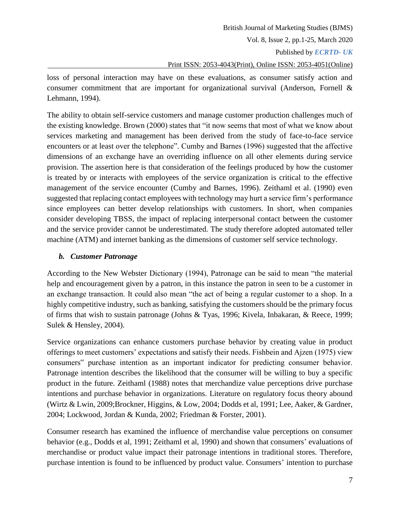Published by *ECRTD- UK* 

#### Print ISSN: 2053-4043(Print), Online ISSN: 2053-4051(Online)

loss of personal interaction may have on these evaluations, as consumer satisfy action and consumer commitment that are important for organizational survival (Anderson, Fornell & Lehmann, 1994).

The ability to obtain self-service customers and manage customer production challenges much of the existing knowledge. Brown (2000) states that "it now seems that most of what we know about services marketing and management has been derived from the study of face-to-face service encounters or at least over the telephone". Cumby and Barnes (1996) suggested that the affective dimensions of an exchange have an overriding influence on all other elements during service provision. The assertion here is that consideration of the feelings produced by how the customer is treated by or interacts with employees of the service organization is critical to the effective management of the service encounter (Cumby and Barnes, 1996). Zeithaml et al. (1990) even suggested that replacing contact employees with technology may hurt a service firm's performance since employees can better develop relationships with customers. In short, when companies consider developing TBSS, the impact of replacing interpersonal contact between the customer and the service provider cannot be underestimated. The study therefore adopted automated teller machine (ATM) and internet banking as the dimensions of customer self service technology.

### *b. Customer Patronage*

According to the New Webster Dictionary (1994), Patronage can be said to mean "the material help and encouragement given by a patron, in this instance the patron in seen to be a customer in an exchange transaction. It could also mean "the act of being a regular customer to a shop. In a highly competitive industry, such as banking, satisfying the customers should be the primary focus of firms that wish to sustain patronage (Johns & Tyas, 1996; Kivela, Inbakaran, & Reece, 1999; Sulek & Hensley, 2004).

Service organizations can enhance customers purchase behavior by creating value in product offerings to meet customers' expectations and satisfy their needs. Fishbein and Ajzen (1975) view consumers" purchase intention as an important indicator for predicting consumer behavior. Patronage intention describes the likelihood that the consumer will be willing to buy a specific product in the future. Zeithaml (1988) notes that merchandize value perceptions drive purchase intentions and purchase behavior in organizations. Literature on regulatory focus theory abound (Wirtz & Lwin, 2009;Brockner, Higgins, & Low, 2004; Dodds et al, 1991; Lee, Aaker, & Gardner, 2004; Lockwood, Jordan & Kunda, 2002; Friedman & Forster, 2001).

Consumer research has examined the influence of merchandise value perceptions on consumer behavior (e.g., Dodds et al, 1991; Zeithaml et al, 1990) and shown that consumers' evaluations of merchandise or product value impact their patronage intentions in traditional stores. Therefore, purchase intention is found to be influenced by product value. Consumers' intention to purchase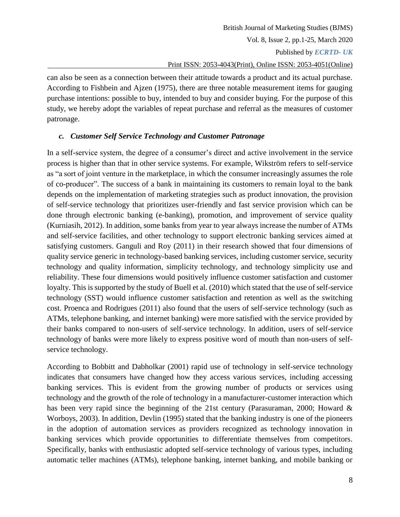can also be seen as a connection between their attitude towards a product and its actual purchase. According to Fishbein and Ajzen (1975), there are three notable measurement items for gauging purchase intentions: possible to buy, intended to buy and consider buying. For the purpose of this study, we hereby adopt the variables of repeat purchase and referral as the measures of customer patronage.

## *c. Customer Self Service Technology and Customer Patronage*

In a self-service system, the degree of a consumer's direct and active involvement in the service process is higher than that in other service systems. For example, Wikström refers to self-service as "a sort of joint venture in the marketplace, in which the consumer increasingly assumes the role of co-producer". The success of a bank in maintaining its customers to remain loyal to the bank depends on the implementation of marketing strategies such as product innovation, the provision of self-service technology that prioritizes user-friendly and fast service provision which can be done through electronic banking (e-banking), promotion, and improvement of service quality (Kurniasih, 2012). In addition, some banks from year to year always increase the number of ATMs and self-service facilities, and other technology to support electronic banking services aimed at satisfying customers. Ganguli and Roy (2011) in their research showed that four dimensions of quality service generic in technology-based banking services, including customer service, security technology and quality information, simplicity technology, and technology simplicity use and reliability. These four dimensions would positively influence customer satisfaction and customer loyalty. This is supported by the study of Buell et al. (2010) which stated that the use of self-service technology (SST) would influence customer satisfaction and retention as well as the switching cost. Proenca and Rodrigues (2011) also found that the users of self-service technology (such as ATMs, telephone banking, and internet banking) were more satisfied with the service provided by their banks compared to non-users of self-service technology. In addition, users of self-service technology of banks were more likely to express positive word of mouth than non-users of selfservice technology.

According to Bobbitt and Dabholkar (2001) rapid use of technology in self-service technology indicates that consumers have changed how they access various services, including accessing banking services. This is evident from the growing number of products or services using technology and the growth of the role of technology in a manufacturer-customer interaction which has been very rapid since the beginning of the 21st century (Parasuraman, 2000; Howard & Worboys, 2003). In addition, Devlin (1995) stated that the banking industry is one of the pioneers in the adoption of automation services as providers recognized as technology innovation in banking services which provide opportunities to differentiate themselves from competitors. Specifically, banks with enthusiastic adopted self-service technology of various types, including automatic teller machines (ATMs), telephone banking, internet banking, and mobile banking or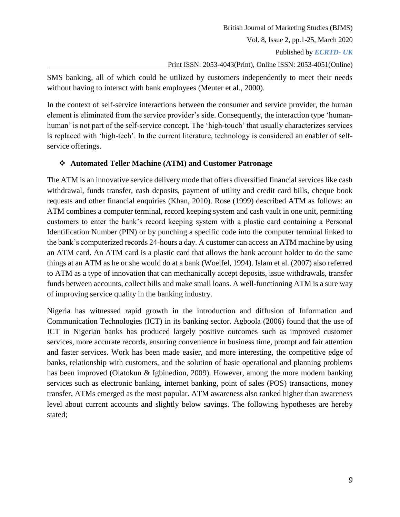Published by *ECRTD- UK* 

### Print ISSN: 2053-4043(Print), Online ISSN: 2053-4051(Online)

SMS banking, all of which could be utilized by customers independently to meet their needs without having to interact with bank employees (Meuter et al., 2000).

In the context of self-service interactions between the consumer and service provider, the human element is eliminated from the service provider's side. Consequently, the interaction type 'humanhuman' is not part of the self-service concept. The 'high-touch' that usually characterizes services is replaced with 'high-tech'. In the current literature, technology is considered an enabler of selfservice offerings.

# **Automated Teller Machine (ATM) and Customer Patronage**

The ATM is an innovative service delivery mode that offers diversified financial services like cash withdrawal, funds transfer, cash deposits, payment of utility and credit card bills, cheque book requests and other financial enquiries (Khan, 2010). Rose (1999) described ATM as follows: an ATM combines a computer terminal, record keeping system and cash vault in one unit, permitting customers to enter the bank's record keeping system with a plastic card containing a Personal Identification Number (PIN) or by punching a specific code into the computer terminal linked to the bank's computerized records 24-hours a day. A customer can access an ATM machine by using an ATM card. An ATM card is a plastic card that allows the bank account holder to do the same things at an ATM as he or she would do at a bank (Woelfel, 1994). Islam et al. (2007) also referred to ATM as a type of innovation that can mechanically accept deposits, issue withdrawals, transfer funds between accounts, collect bills and make small loans. A well-functioning ATM is a sure way of improving service quality in the banking industry.

Nigeria has witnessed rapid growth in the introduction and diffusion of Information and Communication Technologies (ICT) in its banking sector. Agboola (2006) found that the use of ICT in Nigerian banks has produced largely positive outcomes such as improved customer services, more accurate records, ensuring convenience in business time, prompt and fair attention and faster services. Work has been made easier, and more interesting, the competitive edge of banks, relationship with customers, and the solution of basic operational and planning problems has been improved (Olatokun & Igbinedion, 2009). However, among the more modern banking services such as electronic banking, internet banking, point of sales (POS) transactions, money transfer, ATMs emerged as the most popular. ATM awareness also ranked higher than awareness level about current accounts and slightly below savings. The following hypotheses are hereby stated;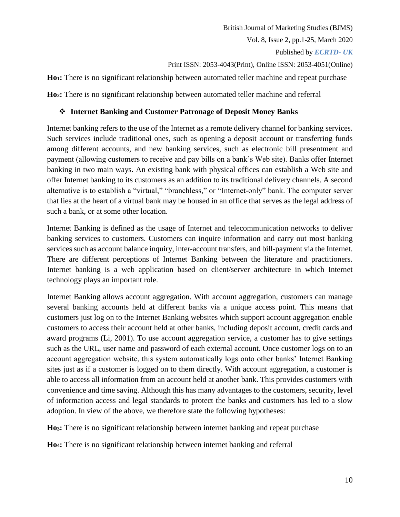**Ho1:** There is no significant relationship between automated teller machine and repeat purchase

**Ho2:** There is no significant relationship between automated teller machine and referral

# **Internet Banking and Customer Patronage of Deposit Money Banks**

Internet banking refers to the use of the Internet as a remote delivery channel for banking services. Such services include traditional ones, such as opening a deposit account or transferring funds among different accounts, and new banking services, such as electronic bill presentment and payment (allowing customers to receive and pay bills on a bank's Web site). Banks offer Internet banking in two main ways. An existing bank with physical offices can establish a Web site and offer Internet banking to its customers as an addition to its traditional delivery channels. A second alternative is to establish a "virtual," "branchless," or "Internet-only" bank. The computer server that lies at the heart of a virtual bank may be housed in an office that serves as the legal address of such a bank, or at some other location.

Internet Banking is defined as the usage of Internet and telecommunication networks to deliver banking services to customers. Customers can inquire information and carry out most banking services such as account balance inquiry, inter-account transfers, and bill-payment via the Internet. There are different perceptions of Internet Banking between the literature and practitioners. Internet banking is a web application based on client/server architecture in which Internet technology plays an important role.

Internet Banking allows account aggregation. With account aggregation, customers can manage several banking accounts held at different banks via a unique access point. This means that customers just log on to the Internet Banking websites which support account aggregation enable customers to access their account held at other banks, including deposit account, credit cards and award programs (Li, 2001). To use account aggregation service, a customer has to give settings such as the URL, user name and password of each external account. Once customer logs on to an account aggregation website, this system automatically logs onto other banks' Internet Banking sites just as if a customer is logged on to them directly. With account aggregation, a customer is able to access all information from an account held at another bank. This provides customers with convenience and time saving. Although this has many advantages to the customers, security, level of information access and legal standards to protect the banks and customers has led to a slow adoption. In view of the above, we therefore state the following hypotheses:

**Ho3:** There is no significant relationship between internet banking and repeat purchase

**Ho4:** There is no significant relationship between internet banking and referral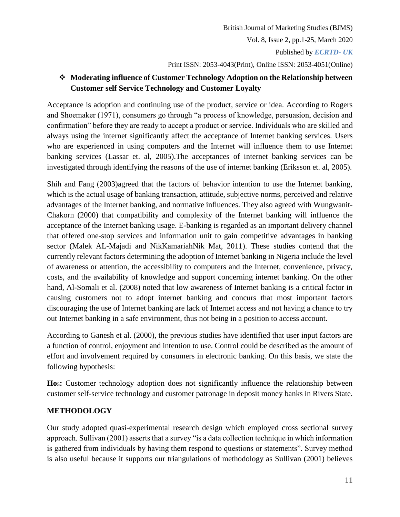# **Moderating influence of Customer Technology Adoption on the Relationship between Customer self Service Technology and Customer Loyalty**

Acceptance is adoption and continuing use of the product, service or idea. According to Rogers and Shoemaker (1971), consumers go through "a process of knowledge, persuasion, decision and confirmation" before they are ready to accept a product or service. Individuals who are skilled and always using the internet significantly affect the acceptance of Internet banking services. Users who are experienced in using computers and the Internet will influence them to use Internet banking services (Lassar et. al, 2005).The acceptances of internet banking services can be investigated through identifying the reasons of the use of internet banking (Eriksson et. al, 2005).

Shih and Fang (2003)agreed that the factors of behavior intention to use the Internet banking, which is the actual usage of banking transaction, attitude, subjective norms, perceived and relative advantages of the Internet banking, and normative influences. They also agreed with Wungwanit-Chakorn (2000) that compatibility and complexity of the Internet banking will influence the acceptance of the Internet banking usage. E-banking is regarded as an important delivery channel that offered one-stop services and information unit to gain competitive advantages in banking sector (Malek AL-Majadi and NikKamariahNik Mat, 2011). These studies contend that the currently relevant factors determining the adoption of Internet banking in Nigeria include the level of awareness or attention, the accessibility to computers and the Internet, convenience, privacy, costs, and the availability of knowledge and support concerning internet banking. On the other hand, Al-Somali et al. (2008) noted that low awareness of Internet banking is a critical factor in causing customers not to adopt internet banking and concurs that most important factors discouraging the use of Internet banking are lack of Internet access and not having a chance to try out Internet banking in a safe environment, thus not being in a position to access account.

According to Ganesh et al. (2000), the previous studies have identified that user input factors are a function of control, enjoyment and intention to use. Control could be described as the amount of effort and involvement required by consumers in electronic banking. On this basis, we state the following hypothesis:

**Ho5:** Customer technology adoption does not significantly influence the relationship between customer self-service technology and customer patronage in deposit money banks in Rivers State.

# **METHODOLOGY**

Our study adopted quasi-experimental research design which employed cross sectional survey approach. Sullivan (2001) asserts that a survey "is a data collection technique in which information is gathered from individuals by having them respond to questions or statements". Survey method is also useful because it supports our triangulations of methodology as Sullivan (2001) believes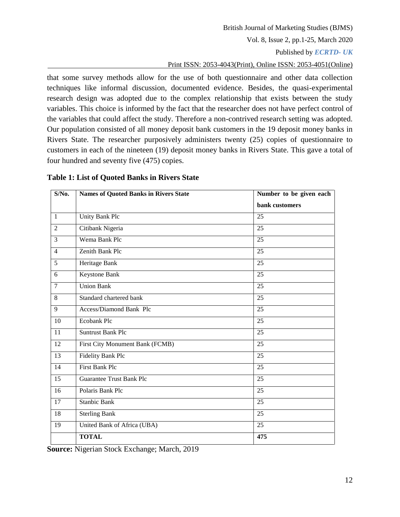#### British Journal of Marketing Studies (BJMS)

Vol. 8, Issue 2, pp.1-25, March 2020

Published by *ECRTD- UK* 

Print ISSN: 2053-4043(Print), Online ISSN: 2053-4051(Online)

that some survey methods allow for the use of both questionnaire and other data collection techniques like informal discussion, documented evidence. Besides, the quasi-experimental research design was adopted due to the complex relationship that exists between the study variables. This choice is informed by the fact that the researcher does not have perfect control of the variables that could affect the study. Therefore a non-contrived research setting was adopted. Our population consisted of all money deposit bank customers in the 19 deposit money banks in Rivers State. The researcher purposively administers twenty (25) copies of questionnaire to customers in each of the nineteen (19) deposit money banks in Rivers State. This gave a total of four hundred and seventy five (475) copies.

| $S/N0$ .        | <b>Names of Quoted Banks in Rivers State</b> | Number to be given each |
|-----------------|----------------------------------------------|-------------------------|
|                 |                                              | bank customers          |
| $\mathbf{1}$    | Unity Bank Plc                               | 25                      |
| $\overline{2}$  | Citibank Nigeria                             | 25                      |
| $\overline{3}$  | Wema Bank Plc                                | $\overline{25}$         |
| $\overline{4}$  | Zenith Bank Plc                              | 25                      |
| $\overline{5}$  | Heritage Bank                                | $\overline{25}$         |
| 6               | <b>Keystone Bank</b>                         | 25                      |
| $\overline{7}$  | <b>Union Bank</b>                            | 25                      |
| 8               | Standard chartered bank                      | 25                      |
| 9               | Access/Diamond Bank Plc                      | 25                      |
| 10              | Ecobank Plc                                  | 25                      |
| 11              | <b>Suntrust Bank Plc</b>                     | 25                      |
| $\overline{12}$ | First City Monument Bank (FCMB)              | $\overline{25}$         |
| 13              | Fidelity Bank Plc                            | 25                      |
| 14              | <b>First Bank Plc</b>                        | 25                      |
| 15              | <b>Guarantee Trust Bank Plc</b>              | 25                      |
| 16              | Polaris Bank Plc                             | 25                      |
| 17              | <b>Stanbic Bank</b>                          | 25                      |
| 18              | <b>Sterling Bank</b>                         | 25                      |
| 19              | United Bank of Africa (UBA)                  | 25                      |
|                 | <b>TOTAL</b>                                 | 475                     |

#### **Table 1: List of Quoted Banks in Rivers State**

**Source:** Nigerian Stock Exchange; March, 2019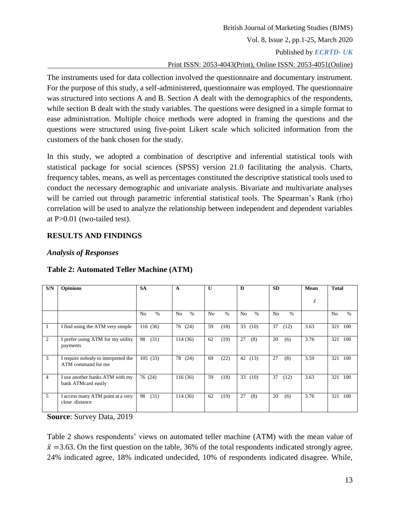The instruments used for data collection involved the questionnaire and documentary instrument. For the purpose of this study, a self-administered, questionnaire was employed. The questionnaire was structured into sections A and B. Section A dealt with the demographics of the respondents, while section B dealt with the study variables. The questions were designed in a simple format to ease administration. Multiple choice methods were adopted in framing the questions and the questions were structured using five-point Likert scale which solicited information from the customers of the bank chosen for the study.

In this study, we adopted a combination of descriptive and inferential statistical tools with statistical package for social sciences (SPSS) version 21.0 facilitating the analysis. Charts, frequency tables, means, as well as percentages constituted the descriptive statistical tools used to conduct the necessary demographic and univariate analysis. Bivariate and multivariate analyses will be carried out through parametric inferential statistical tools. The Spearman's Rank (rho) correlation will be used to analyze the relationship between independent and dependent variables at P>0.01 (two-tailed test).

## **RESULTS AND FINDINGS**

# *Analysis of Responses*

| S/N            | <b>Opinions</b>                                           | <b>SA</b>                       | A                               | $\mathbf{U}$         | D                      | <b>SD</b>              | Mean      | <b>Total</b>           |
|----------------|-----------------------------------------------------------|---------------------------------|---------------------------------|----------------------|------------------------|------------------------|-----------|------------------------|
|                |                                                           |                                 |                                 |                      |                        |                        | $\bar{x}$ |                        |
|                |                                                           | $\frac{0}{0}$<br>N <sub>o</sub> | $\frac{0}{0}$<br>N <sub>o</sub> | $\frac{0}{0}$<br>No. | N <sub>o</sub><br>$\%$ | $\%$<br>N <sub>0</sub> |           | $\%$<br>N <sub>o</sub> |
| -1             | I find using the ATM very simple                          | 116(36)                         | 76<br>(24)                      | 59<br>(18)           | 33<br>(10)             | 37<br>(12)             | 3.63      | 321<br>100             |
| $\overline{c}$ | I prefer using ATM for my utility<br>payments             | (31)<br>98                      | 114(36)                         | 62<br>(19)           | 27<br>(8)              | 20<br>(6)              | 3.76      | 321<br>100             |
| 3              | I require nobody to interpreted the<br>ATM command for me | 105(33)                         | 78<br>(24)                      | (22)<br>69           | 42<br>(13)             | 27<br>(8)              | 3.59      | 321<br>100             |
| 4              | I use another banks ATM with my<br>bank ATMcard easily    | 76 (24)                         | 116(36)                         | 59<br>(18)           | 33<br>(10)             | 37<br>(12)             | 3.63      | 321<br>100             |
| 5              | I access many ATM point at a very<br>close distance       | 98<br>(31)                      | 114(36)                         | 62<br>(19)           | 27<br>(8)              | 20<br>(6)              | 3.76      | 321<br>100             |

# **Table 2: Automated Teller Machine (ATM)**

**Source**: Survey Data, 2019

Table 2 shows respondents' views on automated teller machine (ATM) with the mean value of  $\bar{x}$  =3.63. On the first question on the table, 36% of the total respondents indicated strongly agree, 24% indicated agree, 18% indicated undecided, 10% of respondents indicated disagree. While,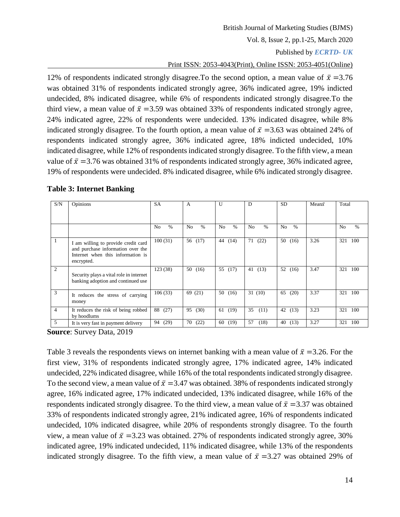#### British Journal of Marketing Studies (BJMS)

Vol. 8, Issue 2, pp.1-25, March 2020

#### Published by *ECRTD- UK*

### Print ISSN: 2053-4043(Print), Online ISSN: 2053-4051(Online)

12% of respondents indicated strongly disagree. To the second option, a mean value of  $\bar{x} = 3.76$ was obtained 31% of respondents indicated strongly agree, 36% indicated agree, 19% indicted undecided, 8% indicated disagree, while 6% of respondents indicated strongly disagree.To the third view, a mean value of  $\bar{x}$  =3.59 was obtained 33% of respondents indicated strongly agree, 24% indicated agree, 22% of respondents were undecided. 13% indicated disagree, while 8% indicated strongly disagree. To the fourth option, a mean value of  $\bar{x} = 3.63$  was obtained 24% of respondents indicated strongly agree, 36% indicated agree, 18% indicted undecided, 10% indicated disagree, while 12% of respondents indicated strongly disagree. To the fifth view, a mean value of  $\bar{x}$  =3.76 was obtained 31% of respondents indicated strongly agree, 36% indicated agree, 19% of respondents were undecided. 8% indicated disagree, while 6% indicated strongly disagree.

| S/N            | Opinions                                                                                                                    | <b>SA</b>                       | $\overline{A}$                  | U                      | D                      | <b>SD</b>              | Mean $\bar{x}$ | Total                  |
|----------------|-----------------------------------------------------------------------------------------------------------------------------|---------------------------------|---------------------------------|------------------------|------------------------|------------------------|----------------|------------------------|
|                |                                                                                                                             |                                 |                                 |                        |                        |                        |                |                        |
|                |                                                                                                                             | N <sub>o</sub><br>$\frac{0}{0}$ | $\frac{0}{0}$<br>N <sub>0</sub> | N <sub>o</sub><br>$\%$ | N <sub>o</sub><br>$\%$ | $\%$<br>N <sub>0</sub> |                | N <sub>o</sub><br>$\%$ |
|                | I am willing to provide credit card<br>and purchase information over the<br>Internet when this information is<br>encrypted. | 100(31)                         | 56 (17)                         | 44<br>(14)             | (22)<br>71             | 50<br>(16)             | 3.26           | 100<br>321             |
| $\overline{c}$ | Security plays a vital role in internet<br>banking adoption and continued use                                               | 123 (38)                        | 50(16)                          | 55 (17)                | (13)<br>41             | 52<br>(16)             | 3.47           | 321<br>100             |
| 3              | It reduces the stress of carrying<br>money                                                                                  | 106(33)                         | 69 (21)                         | 50(16)                 | 31(10)                 | 65<br>(20)             | 3.37           | 321<br>100             |
| 4              | It reduces the risk of being robbed<br>by hoodlums                                                                          | 88<br>(27)                      | 95<br>(30)                      | 61 (19)                | 35<br>(11)             | 42 (13)                | 3.23           | 321<br>100             |
| 5              | It is very fast in payment delivery                                                                                         | (29)<br>94                      | 70<br>(22)                      | 60<br>(19)             | 57<br>(18)             | 40<br>(13)             | 3.27           | 321<br>100             |

#### **Table 3: Internet Banking**

**Source**: Survey Data, 2019

Table 3 reveals the respondents views on internet banking with a mean value of  $\bar{x} = 3.26$ . For the first view, 31% of respondents indicated strongly agree, 17% indicated agree, 14% indicated undecided, 22% indicated disagree, while 16% of the total respondents indicated strongly disagree. To the second view, a mean value of  $\bar{x} = 3.47$  was obtained. 38% of respondents indicated strongly agree, 16% indicated agree, 17% indicated undecided, 13% indicated disagree, while 16% of the respondents indicated strongly disagree. To the third view, a mean value of  $\bar{x} = 3.37$  was obtained 33% of respondents indicated strongly agree, 21% indicated agree, 16% of respondents indicated undecided, 10% indicated disagree, while 20% of respondents strongly disagree. To the fourth view, a mean value of  $\bar{x}$  =3.23 was obtained. 27% of respondents indicated strongly agree, 30% indicated agree, 19% indicated undecided, 11% indicated disagree, while 13% of the respondents indicated strongly disagree. To the fifth view, a mean value of  $\bar{x} = 3.27$  was obtained 29% of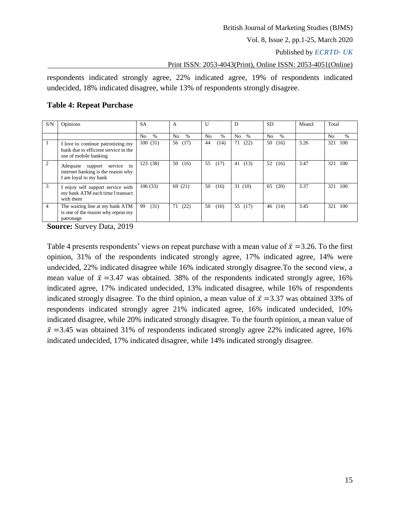Published by *ECRTD- UK* 

Print ISSN: 2053-4043(Print), Online ISSN: 2053-4051(Online)

respondents indicated strongly agree, 22% indicated agree, 19% of respondents indicated undecided, 18% indicated disagree, while 13% of respondents strongly disagree.

### **Table 4: Repeat Purchase**

| S/N            | Opinions                                                                                           | <b>SA</b>                       | A           | U                      | D                      | SD.        | Mean $\bar{x}$ | Total                  |
|----------------|----------------------------------------------------------------------------------------------------|---------------------------------|-------------|------------------------|------------------------|------------|----------------|------------------------|
|                |                                                                                                    | N <sub>o</sub><br>$\frac{0}{0}$ | No.<br>$\%$ | N <sub>o</sub><br>$\%$ | N <sub>o</sub><br>$\%$ | $\%$<br>No |                | N <sub>0</sub><br>$\%$ |
|                | I love to continue patronizing my<br>bank due to efficient service in the<br>use of mobile banking | 100(31)                         | 56 (17)     | 44<br>(14)             | 71<br>(22)             | 50<br>(16) | 3.26           | 321<br>100             |
| 2              | Adequate support service in<br>internet banking is the reason why<br>I am loyal to my bank         | 123 (38)                        | 50<br>(16)  | 55<br>(17)             | (13)<br>41             | 52 $(16)$  | 3.47           | 321<br>100             |
| 3              | I enjoy self support service with<br>my bank ATM each time I transact<br>with them                 | 106(33)                         | 69 (21)     | 50<br>(16)             | 31(10)                 | 65<br>(20) | 3.37           | 100<br>321             |
| $\overline{4}$ | The waiting line at my bank ATM<br>is one of the reason why repeat my<br>patronage                 | (31)<br>99                      | 71<br>(22)  | 50<br>(16)             | 55<br>(17)             | 46<br>(14) | 3.45           | 321<br>100             |

**Source:** Survey Data, 2019

Table 4 presents respondents' views on repeat purchase with a mean value of  $\bar{x} = 3.26$ . To the first opinion, 31% of the respondents indicated strongly agree, 17% indicated agree, 14% were undecided, 22% indicated disagree while 16% indicated strongly disagree.To the second view, a mean value of  $\bar{x}$  =3.47 was obtained. 38% of the respondents indicated strongly agree, 16% indicated agree, 17% indicated undecided, 13% indicated disagree, while 16% of respondents indicated strongly disagree. To the third opinion, a mean value of  $\bar{x} = 3.37$  was obtained 33% of respondents indicated strongly agree 21% indicated agree, 16% indicated undecided, 10% indicated disagree, while 20% indicated strongly disagree. To the fourth opinion, a mean value of  $\bar{x}$  =3.45 was obtained 31% of respondents indicated strongly agree 22% indicated agree, 16% indicated undecided, 17% indicated disagree, while 14% indicated strongly disagree.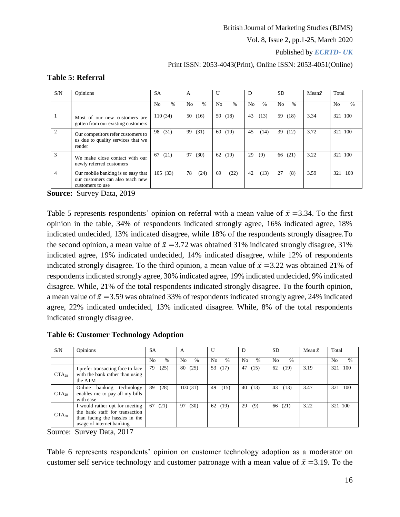Published by *ECRTD- UK* 

#### Print ISSN: 2053-4043(Print), Online ISSN: 2053-4051(Online)

| S/N            | Opinions                                                                                   | <b>SA</b>              | A           | U           | D                               | <b>SD</b>            | Mean $\bar{x}$ | Total               |
|----------------|--------------------------------------------------------------------------------------------|------------------------|-------------|-------------|---------------------------------|----------------------|----------------|---------------------|
|                |                                                                                            | $\%$<br>N <sub>0</sub> | $\%$<br>No. | $\%$<br>No. | N <sub>o</sub><br>$\frac{0}{0}$ | $\frac{0}{6}$<br>No. |                | $\frac{0}{0}$<br>No |
|                | Most of our new customers are<br>gotten from our existing customers                        | 110(34)                | 50<br>(16)  | (18)<br>59  | 43<br>(13)                      | (18)<br>59           | 3.34           | 100<br>321          |
| $\overline{2}$ | Our competitors refer customers to<br>us due to quality services that we<br>render         | (31)<br>98             | (31)<br>99  | (19)<br>60  | 45<br>(14)                      | 39<br>(12)           | 3.72           | 100<br>321          |
| 3              | We make close contact with our<br>newly referred customers                                 | (21)<br>67             | (30)<br>97  | 62<br>(19)  | 29<br>(9)                       | (21)<br>66           | 3.22           | 321 100             |
| 4              | Our mobile banking is so easy that<br>our customers can also teach new<br>customers to use | 105(33)                | 78<br>(24)  | (22)<br>69  | (13)<br>42                      | 27<br>(8)            | 3.59           | 100<br>321          |

### **Table 5: Referral**

**Source:** Survey Data, 2019

Table 5 represents respondents' opinion on referral with a mean value of  $\bar{x} = 3.34$ . To the first opinion in the table, 34% of respondents indicated strongly agree, 16% indicated agree, 18% indicated undecided, 13% indicated disagree, while 18% of the respondents strongly disagree.To the second opinion, a mean value of  $\bar{x} = 3.72$  was obtained 31% indicated strongly disagree, 31% indicated agree, 19% indicated undecided, 14% indicated disagree, while 12% of respondents indicated strongly disagree. To the third opinion, a mean value of  $\bar{x}$  =3.22 was obtained 21% of respondents indicated strongly agree, 30% indicated agree, 19% indicated undecided, 9% indicated disagree. While, 21% of the total respondents indicated strongly disagree. To the fourth opinion, a mean value of  $\bar{x} = 3.59$  was obtained 33% of respondents indicated strongly agree, 24% indicated agree, 22% indicated undecided, 13% indicated disagree. While, 8% of the total respondents indicated strongly disagree.

**Table 6: Customer Technology Adoption**

| S/N        | Opinions                                                                                                                        | <b>SA</b>              | A                      |                        | D                    | <b>SD</b>                       | Mean $\bar{x}$ | Total                  |
|------------|---------------------------------------------------------------------------------------------------------------------------------|------------------------|------------------------|------------------------|----------------------|---------------------------------|----------------|------------------------|
|            |                                                                                                                                 | N <sub>0</sub><br>$\%$ | N <sub>o</sub><br>$\%$ | N <sub>0</sub><br>$\%$ | No.<br>$\frac{0}{6}$ | $\frac{0}{6}$<br>N <sub>0</sub> |                | N <sub>0</sub><br>$\%$ |
| $CTA_{28}$ | I prefer transacting face to face<br>with the bank rather than using<br>the ATM                                                 | 79<br>(25)             | 80<br>(25)             | 53<br>(17)             | 47<br>(15)           | 62<br>(19)                      | 3.19           | 100<br>321             |
| $CTA_{29}$ | banking<br>Online<br>technology<br>enables me to pay all my bills<br>with ease                                                  | -89<br>(28)            | 100(31)                | 49<br>(15)             | 40<br>(13)           | 43<br>(13)                      | 3.47           | 100<br>321             |
| $CTA_{30}$ | I would rather opt for meeting<br>the bank staff for transaction<br>than facing the hassles in the<br>usage of internet banking | 67(21)                 | (30)<br>97             | 62 (19)                | 29<br>(9)            | 66 (21)                         | 3.22           | 321 100                |

Source: Survey Data, 2017

Table 6 represents respondents' opinion on customer technology adoption as a moderator on customer self service technology and customer patronage with a mean value of  $\bar{x} = 3.19$ . To the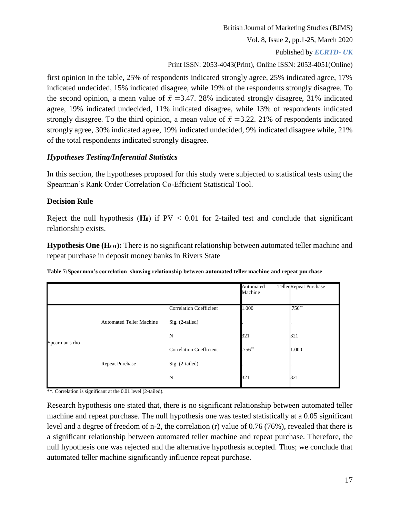Print ISSN: 2053-4043(Print), Online ISSN: 2053-4051(Online)

first opinion in the table, 25% of respondents indicated strongly agree, 25% indicated agree, 17% indicated undecided, 15% indicated disagree, while 19% of the respondents strongly disagree. To the second opinion, a mean value of  $\bar{x} = 3.47$ . 28% indicated strongly disagree, 31% indicated agree, 19% indicated undecided, 11% indicated disagree, while 13% of respondents indicated strongly disagree. To the third opinion, a mean value of  $\bar{x} = 3.22$ . 21% of respondents indicated strongly agree, 30% indicated agree, 19% indicated undecided, 9% indicated disagree while, 21% of the total respondents indicated strongly disagree.

# *Hypotheses Testing/Inferential Statistics*

In this section, the hypotheses proposed for this study were subjected to statistical tests using the Spearman's Rank Order Correlation Co-Efficient Statistical Tool.

# **Decision Rule**

Reject the null hypothesis  $(H_0)$  if  $PV < 0.01$  for 2-tailed test and conclude that significant relationship exists.

**Hypothesis One (HO1):** There is no significant relationship between automated teller machine and repeat purchase in deposit money banks in Rivers State

|                |                                 |                                | Automated<br>Machine | TellerRepeat Purchase |
|----------------|---------------------------------|--------------------------------|----------------------|-----------------------|
|                |                                 | <b>Correlation Coefficient</b> | 1.000                | $.756^{**}$           |
|                | <b>Automated Teller Machine</b> | Sig. (2-tailed)                |                      |                       |
| Spearman's rho |                                 | N                              | 321                  | 321                   |
|                |                                 | <b>Correlation Coefficient</b> | $.756**$             | 1.000                 |
|                | <b>Repeat Purchase</b>          | Sig. (2-tailed)                |                      |                       |
|                |                                 | N                              | 321                  | 321                   |

\*\*. Correlation is significant at the 0.01 level (2-tailed).

Research hypothesis one stated that, there is no significant relationship between automated teller machine and repeat purchase. The null hypothesis one was tested statistically at a 0.05 significant level and a degree of freedom of n-2, the correlation (r) value of 0.76 (76%), revealed that there is a significant relationship between automated teller machine and repeat purchase. Therefore, the null hypothesis one was rejected and the alternative hypothesis accepted. Thus; we conclude that automated teller machine significantly influence repeat purchase.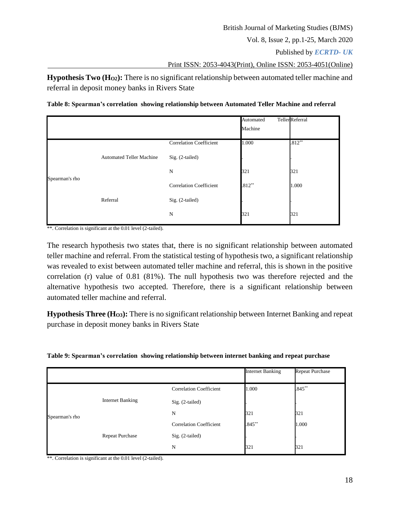Published by *ECRTD- UK* 

Print ISSN: 2053-4043(Print), Online ISSN: 2053-4051(Online)

**Hypothesis Two (HO2):** There is no significant relationship between automated teller machine and referral in deposit money banks in Rivers State

**Table 8: Spearman's correlation showing relationship between Automated Teller Machine and referral**

|                |                                 |                                | Automated | <b>Teller</b> Referral |
|----------------|---------------------------------|--------------------------------|-----------|------------------------|
|                |                                 |                                | Machine   |                        |
|                |                                 | <b>Correlation Coefficient</b> | 1.000     | $.812**$               |
|                | <b>Automated Teller Machine</b> | Sig. (2-tailed)                |           |                        |
| Spearman's rho |                                 | N                              | 321       | 321                    |
|                |                                 | <b>Correlation Coefficient</b> | $.812***$ | 1.000                  |
|                | Referral                        | Sig. (2-tailed)                |           |                        |
|                |                                 | N                              | 321       | 321                    |

\*\*. Correlation is significant at the 0.01 level (2-tailed).

The research hypothesis two states that, there is no significant relationship between automated teller machine and referral. From the statistical testing of hypothesis two, a significant relationship was revealed to exist between automated teller machine and referral, this is shown in the positive correlation (r) value of 0.81 (81%). The null hypothesis two was therefore rejected and the alternative hypothesis two accepted. Therefore, there is a significant relationship between automated teller machine and referral.

**Hypothesis Three (HO3):** There is no significant relationship between Internet Banking and repeat purchase in deposit money banks in Rivers State

| Table 9: Spearman's correlation showing relationship between internet banking and repeat purchase |  |  |
|---------------------------------------------------------------------------------------------------|--|--|
|                                                                                                   |  |  |

|                |                         |                                | <b>Internet Banking</b> | <b>Repeat Purchase</b> |
|----------------|-------------------------|--------------------------------|-------------------------|------------------------|
|                |                         | <b>Correlation Coefficient</b> | 1.000                   | $.845***$              |
|                | <b>Internet Banking</b> | Sig. (2-tailed)                |                         |                        |
| Spearman's rho |                         | N                              | 321                     | 321                    |
|                | Repeat Purchase         | <b>Correlation Coefficient</b> | $.845***$               | 1.000                  |
|                |                         | Sig. (2-tailed)                |                         |                        |
|                |                         | $_{\rm N}$                     | 321                     | 321                    |

\*\*. Correlation is significant at the 0.01 level (2-tailed).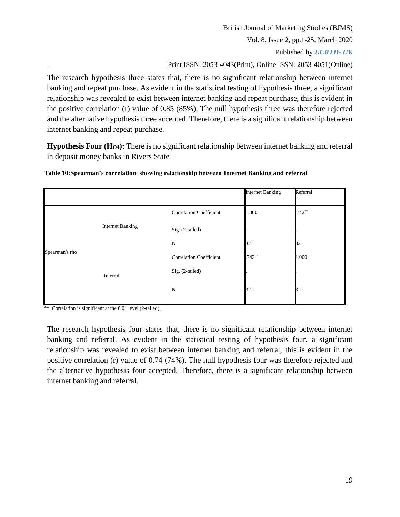British Journal of Marketing Studies (BJMS) Vol. 8, Issue 2, pp.1-25, March 2020 Published by *ECRTD- UK*  Print ISSN: 2053-4043(Print), Online ISSN: 2053-4051(Online) The research hypothesis three states that, there is no significant relationship between internet

banking and repeat purchase. As evident in the statistical testing of hypothesis three, a significant relationship was revealed to exist between internet banking and repeat purchase, this is evident in the positive correlation (r) value of 0.85 (85%). The null hypothesis three was therefore rejected and the alternative hypothesis three accepted. Therefore, there is a significant relationship between internet banking and repeat purchase.

**Hypothesis Four (HO4):** There is no significant relationship between internet banking and referral in deposit money banks in Rivers State

|                |                         |                                | <b>Internet Banking</b> | Referral |
|----------------|-------------------------|--------------------------------|-------------------------|----------|
|                |                         | <b>Correlation Coefficient</b> | 1.000                   | $.742**$ |
|                | <b>Internet Banking</b> | Sig. (2-tailed)                |                         |          |
|                |                         | N                              | 321                     | 321      |
| Spearman's rho |                         | <b>Correlation Coefficient</b> | $.742**$                | 1.000    |
|                | Referral                | Sig. (2-tailed)                |                         |          |
|                |                         | N                              | 321                     | 321      |

**Table 10:Spearman's correlation showing relationship between Internet Banking and referral**

\*\*. Correlation is significant at the 0.01 level (2-tailed).

The research hypothesis four states that, there is no significant relationship between internet banking and referral. As evident in the statistical testing of hypothesis four, a significant relationship was revealed to exist between internet banking and referral, this is evident in the positive correlation (r) value of 0.74 (74%). The null hypothesis four was therefore rejected and the alternative hypothesis four accepted. Therefore, there is a significant relationship between internet banking and referral.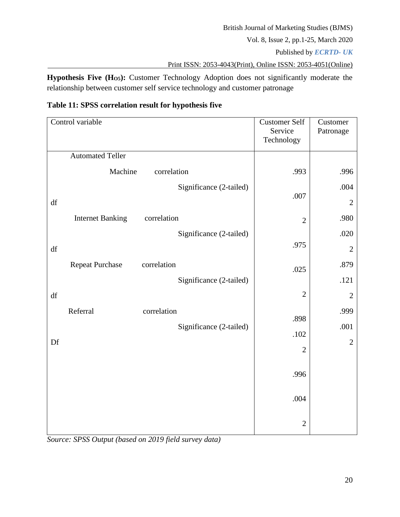Published by *ECRTD- UK* 

Print ISSN: 2053-4043(Print), Online ISSN: 2053-4051(Online)

**Hypothesis Five (HO5):** Customer Technology Adoption does not significantly moderate the relationship between customer self service technology and customer patronage

| Table 11: SPSS correlation result for hypothesis five |  |  |  |  |
|-------------------------------------------------------|--|--|--|--|
|-------------------------------------------------------|--|--|--|--|

| Control variable                       | <b>Customer Self</b><br>Service<br>Technology | Customer<br>Patronage |
|----------------------------------------|-----------------------------------------------|-----------------------|
| <b>Automated Teller</b>                |                                               |                       |
| Machine<br>correlation                 | .993                                          | .996                  |
| Significance (2-tailed)                |                                               | .004                  |
| df                                     | .007                                          | $\overline{2}$        |
| correlation<br><b>Internet Banking</b> | $\overline{2}$                                | .980                  |
| Significance (2-tailed)                |                                               | .020                  |
| $\mathrm{d}\mathrm{f}$                 | .975                                          | $\overline{2}$        |
| <b>Repeat Purchase</b><br>correlation  | .025                                          | .879                  |
| Significance (2-tailed)                |                                               | .121                  |
| df                                     | $\overline{2}$                                | $\overline{2}$        |
| Referral<br>correlation                |                                               | .999                  |
| Significance (2-tailed)                | .898                                          | .001                  |
| Df                                     | .102                                          | $\overline{2}$        |
|                                        | $\overline{2}$                                |                       |
|                                        | .996                                          |                       |
|                                        | .004                                          |                       |
|                                        | $\mathbf{2}$                                  |                       |

*Source: SPSS Output (based on 2019 field survey data)*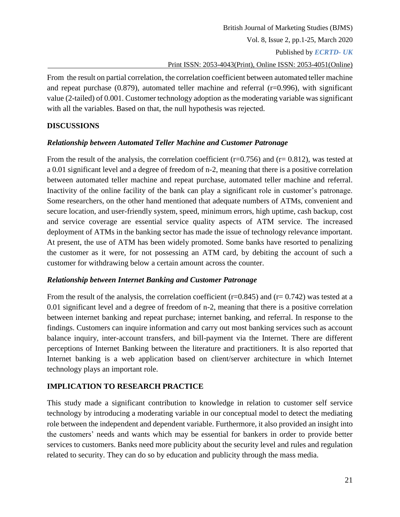Published by *ECRTD- UK* 

Print ISSN: 2053-4043(Print), Online ISSN: 2053-4051(Online)

From the result on partial correlation, the correlation coefficient between automated teller machine and repeat purchase  $(0.879)$ , automated teller machine and referral  $(r=0.996)$ , with significant value (2-tailed) of 0.001. Customer technology adoption as the moderating variable was significant with all the variables. Based on that, the null hypothesis was rejected.

# **DISCUSSIONS**

# *Relationship between Automated Teller Machine and Customer Patronage*

From the result of the analysis, the correlation coefficient ( $r=0.756$ ) and ( $r=0.812$ ), was tested at a 0.01 significant level and a degree of freedom of n-2, meaning that there is a positive correlation between automated teller machine and repeat purchase, automated teller machine and referral. Inactivity of the online facility of the bank can play a significant role in customer's patronage. Some researchers, on the other hand mentioned that adequate numbers of ATMs, convenient and secure location, and user-friendly system, speed, minimum errors, high uptime, cash backup, cost and service coverage are essential service quality aspects of ATM service. The increased deployment of ATMs in the banking sector has made the issue of technology relevance important. At present, the use of ATM has been widely promoted. Some banks have resorted to penalizing the customer as it were, for not possessing an ATM card, by debiting the account of such a customer for withdrawing below a certain amount across the counter.

# *Relationship between Internet Banking and Customer Patronage*

From the result of the analysis, the correlation coefficient ( $r=0.845$ ) and ( $r=0.742$ ) was tested at a 0.01 significant level and a degree of freedom of n-2, meaning that there is a positive correlation between internet banking and repeat purchase; internet banking, and referral. In response to the findings. Customers can inquire information and carry out most banking services such as account balance inquiry, inter-account transfers, and bill-payment via the Internet. There are different perceptions of Internet Banking between the literature and practitioners. It is also reported that Internet banking is a web application based on client/server architecture in which Internet technology plays an important role.

# **IMPLICATION TO RESEARCH PRACTICE**

This study made a significant contribution to knowledge in relation to customer self service technology by introducing a moderating variable in our conceptual model to detect the mediating role between the independent and dependent variable. Furthermore, it also provided an insight into the customers' needs and wants which may be essential for bankers in order to provide better services to customers. Banks need more publicity about the security level and rules and regulation related to security. They can do so by education and publicity through the mass media.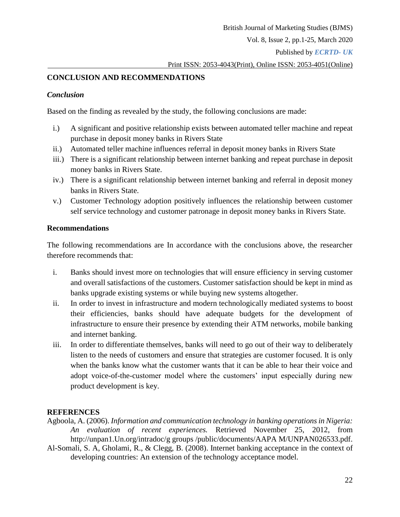Published by *ECRTD- UK* 

Print ISSN: 2053-4043(Print), Online ISSN: 2053-4051(Online)

# **CONCLUSION AND RECOMMENDATIONS**

### *Conclusion*

Based on the finding as revealed by the study, the following conclusions are made:

- i.) A significant and positive relationship exists between automated teller machine and repeat purchase in deposit money banks in Rivers State
- ii.) Automated teller machine influences referral in deposit money banks in Rivers State
- iii.) There is a significant relationship between internet banking and repeat purchase in deposit money banks in Rivers State.
- iv.) There is a significant relationship between internet banking and referral in deposit money banks in Rivers State.
- v.) Customer Technology adoption positively influences the relationship between customer self service technology and customer patronage in deposit money banks in Rivers State.

### **Recommendations**

The following recommendations are In accordance with the conclusions above, the researcher therefore recommends that:

- i. Banks should invest more on technologies that will ensure efficiency in serving customer and overall satisfactions of the customers. Customer satisfaction should be kept in mind as banks upgrade existing systems or while buying new systems altogether.
- ii. In order to invest in infrastructure and modern technologically mediated systems to boost their efficiencies, banks should have adequate budgets for the development of infrastructure to ensure their presence by extending their ATM networks, mobile banking and internet banking.
- iii. In order to differentiate themselves, banks will need to go out of their way to deliberately listen to the needs of customers and ensure that strategies are customer focused. It is only when the banks know what the customer wants that it can be able to hear their voice and adopt voice-of-the-customer model where the customers' input especially during new product development is key.

## **REFERENCES**

- Agboola, A. (2006). *Information and communication technology in banking operations in Nigeria: An evaluation of recent experiences.* Retrieved November 25, 2012, from [http://unpan1.Un.org/intradoc/g groups /public/documents/AAPA M/UNPAN026533.pdf.](http://unpan1.un.org/intradoc/g%20groups%20/public/documents/AAPA%20M/UNPAN026533.pdf)
- Al-Somali, S. A, Gholami, R., & Clegg, B. (2008). Internet banking acceptance in the context of developing countries: An extension of the technology acceptance model.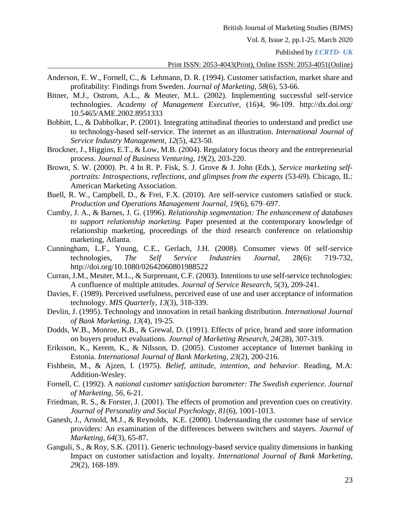Published by *ECRTD- UK* 

#### Print ISSN: 2053-4043(Print), Online ISSN: 2053-4051(Online)

- Anderson, E. W., Fornell, C., & Lehmann, D. R. (1994). Customer satisfaction, market share and profitability: Findings from Sweden. *Journal of Marketing, 58*(6), 53-66.
- Bitner, M.J., Ostrom, A.L., & Meuter, M.L. (2002). Implementing successful self-service technologies. *Academy of Management Executive*, (16)4, 96-109. [http://dx.doi.org/](http://dx.doi.org/%2010.5465/AME.2002.8951333)  [10.5465/AME.2002.8951333](http://dx.doi.org/%2010.5465/AME.2002.8951333)
- Bobbitt, L., & Dabholkar, P. (2001). Integrating attitudinal theories to understand and predict use to technology-based self-service. The internet as an illustration. *International Journal of Service Industry Management*, *12*(5), 423-50.
- Brockner, J., Higgins, E.T., & Low, M.B. (2004). Regulatory focus theory and the entrepreneurial process. *Journal of Business Venturing, 19*(2), 203-220.
- Brown, S. W. (2000). Pt. 4 In R. P. Fisk, S. J. Grove & J. John (Eds.), *Service marketing selfportraits: Introspections, reflections, and glimpses from the experts* (53-69). Chicago, IL: American Marketing Association.
- Buell, R. W., Campbell, D., & Frei, F.X. (2010). Are self-service customers satisfied or stuck. *Production and Operations Management Journal, 19*(6), 679–697.
- Cumby, J. A., & Barnes, J. G. (1996). *Relationship segmentation: The enhancement of databases to support relationship marketing.* Paper presented at the contemporary knowledge of relationship marketing, proceedings of the third research conference on relationship marketing, Atlanta.
- Cunningham, L.F., Young, C.E., Gerlach, J.H. (2008). Consumer views 0f self-service technologies, *The Self Service Industries Journal*, 28(6): 719-732, <http://doi.org/10.1080/02642060801988522>
- Curran, J.M., Meuter, M.L., & Surprenant, C.F. (2003). Intentions to use self-service technologies: A confluence of multiple attitudes. *Journal of Service Research*, 5(3), 209-241.
- Davies, F. (1989). Perceived usefulness, perceived ease of use and user acceptance of information technology. *MIS Quarterly, 13*(3), 318-339.
- Devlin, J. (1995). Technology and innovation in retail banking distribution. *International Journal of Bank Marketing*, *13*(4), 19-25.
- Dodds, W.B., Monroe, K.B., & Grewal, D. (1991). Effects of price, brand and store information on buyers product evaluations. *Journal of Marketing Research*, *24*(28), 307-319.
- Eriksson, K., Kerem, K., & Nilsson, D. (2005). Customer acceptance of Internet banking in Estonia. *International Journal of Bank Marketing*, *23*(2), 200-216.
- Fishbein, M., & Ajzen, I. (1975). *Belief, attitude, intention, and behavior*. Reading, M.A: Addition-Wesley.
- Fornell, C. (1992). A *national customer satisfaction barometer: The Swedish experience*. *Journal of Marketing*, *56*, 6-21.
- Friedman, R. S., & Forster, J. (2001). The effects of promotion and prevention cues on creativity. *Journal of Personality and Social Psychology, 81*(6), 1001-1013.
- Ganesh, J., Arnold, M.J., & Reynolds, K.E. (2000). Understanding the customer base of service providers: An examination of the differences between switchers and stayers. *Journal of Marketing*, *64*(3), 65-87.
- Ganguli, S., & Roy, S.K. (2011). Generic technology-based service quality dimensions in banking Impact on customer satisfaction and loyalty. *International Journal of Bank Marketing*, *29*(2), 168-189.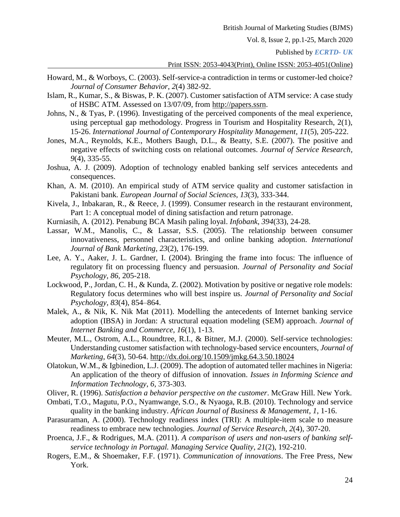Published by *ECRTD- UK* 

#### Print ISSN: 2053-4043(Print), Online ISSN: 2053-4051(Online)

- Howard, M., & Worboys, C. (2003). Self-service-a contradiction in terms or customer-led choice? *Journal of Consumer Behavior*, *2*(4) 382-92.
- Islam, R., Kumar, S., & Biswas, P. K. (2007). Customer satisfaction of ATM service: A case study of HSBC ATM. Assessed on 13/07/09, from [http://papers.ssrn.](http://papers.ssrn/)
- Johns, N., & Tyas, P. (1996). Investigating of the perceived components of the meal experience, using perceptual gap methodology. Progress in Tourism and Hospitality Research, 2(1), 15-26. *International Journal of Contemporary Hospitality Management*, *11*(5), 205-222.
- Jones, M.A., Reynolds, K.E., Mothers Baugh, D.L., & Beatty, S.E. (2007). The positive and negative effects of switching costs on relational outcomes. *Journal of Service Research, 9*(4), 335-55.
- Joshua, A. J. (2009). Adoption of technology enabled banking self services antecedents and consequences.
- Khan, A. M. (2010). An empirical study of ATM service quality and customer satisfaction in Pakistani bank*. European Journal of Social Sciences, 13*(3), 333-344.
- Kivela, J., Inbakaran, R., & Reece, J. (1999). Consumer research in the restaurant environment, Part 1: A conceptual model of dining satisfaction and return patronage.
- Kurniasih, A. (2012). Penabung BCA Masih paling loyal. *Infobank*, *394*(33), 24-28.
- Lassar, W.M., Manolis, C., & Lassar, S.S. (2005). The relationship between consumer innovativeness, personnel characteristics, and online banking adoption. *International Journal of Bank Marketing*, *23*(2), 176-199.
- Lee, A. Y., Aaker, J. L. Gardner, I. (2004). Bringing the frame into focus: The influence of regulatory fit on processing fluency and persuasion. *Journal of Personality and Social Psychology, 86*, 205-218.
- Lockwood, P., Jordan, C. H., & Kunda, Z. (2002). Motivation by positive or negative role models: Regulatory focus determines who will best inspire us. *Journal of Personality and Social Psychology, 83*(4), 854–864.
- Malek, A., & Nik, K. Nik Mat (2011). Modelling the antecedents of Internet banking service adoption (IBSA) in Jordan: A structural equation modeling (SEM) approach. *Journal of Internet Banking and Commerce*, *16*(1), 1-13.
- Meuter, M.L., Ostrom, A.L., Roundtree, R.I., & Bitner, M.J. (2000). Self-service technologies: Understanding customer satisfaction with technology-based service encounters, *Journal of Marketing*, *64*(3), 50-64. <http://dx.doi.org/10.1509/jmkg.64.3.50.18024>
- Olatokun, W.M., & Igbinedion, L.J. (2009). The adoption of automated teller machines in Nigeria: An application of the theory of diffusion of innovation. *Issues in Informing Science and Information Technology*, *6*, 373-303.
- Oliver, R. (1996). *Satisfaction a behavior perspective on the customer*. McGraw Hill. New York.
- Ombati, T.O., Magutu, P.O., Nyamwange, S.O., & Nyaoga, R.B. (2010). Technology and service quality in the banking industry. *African Journal of Business & Management*, *1*, 1-16.
- Parasuraman, A. (2000). Technology readiness index (TRI): A multiple-item scale to measure readiness to embrace new technologies. *Journal of Service Research*, *2*(4), 307-20.
- Proenca, J.F., & Rodrigues, M.A. (2011). *A comparison of users and non-users of banking selfservice technology in Portugal. Managing Service Quality*, *21*(2), 192-210.
- Rogers, E.M., & Shoemaker, F.F. (1971). *Communication of innovations*. The Free Press, New York.